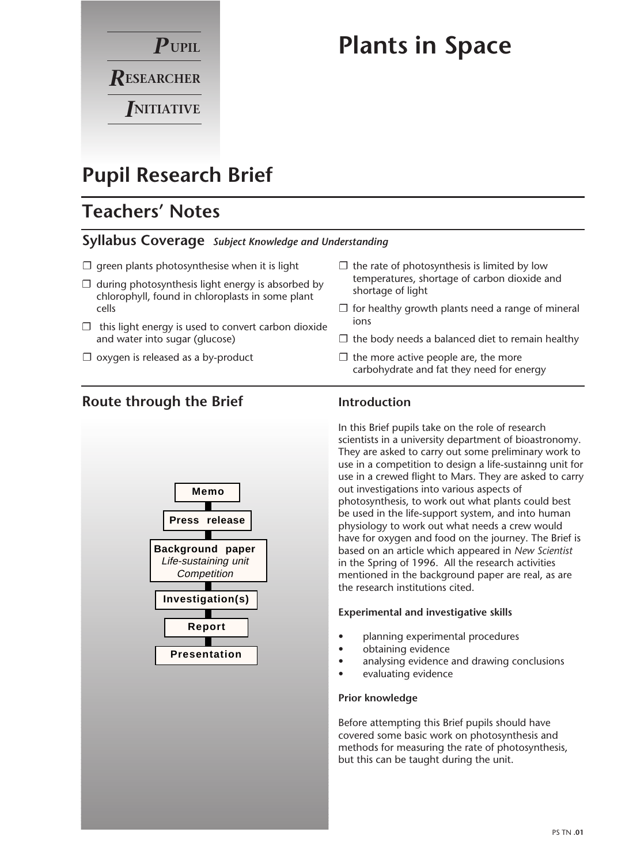

# **Plants in Space**

 $\square$  the rate of photosynthesis is limited by low temperatures, shortage of carbon dioxide and

 $\Box$  the more active people are, the more

 $\Box$  for healthy growth plants need a range of mineral

 $\Box$  the body needs a balanced diet to remain healthy

carbohydrate and fat they need for energy

## **Pupil Research Brief**

## **Teachers' Notes**

### **Syllabus Coverage** *Subject Knowledge and Understanding*

- $\square$  green plants photosynthesise when it is light
- $\Box$  during photosynthesis light energy is absorbed by chlorophyll, found in chloroplasts in some plant cells
- $\Box$  this light energy is used to convert carbon dioxide and water into sugar (glucose)
- $\square$  oxygen is released as a by-product

## **Route through the Brief**



### **Introduction**

ions

shortage of light

In this Brief pupils take on the role of research scientists in a university department of bioastronomy. They are asked to carry out some preliminary work to use in a competition to design a life-sustainng unit for use in a crewed flight to Mars. They are asked to carry out investigations into various aspects of photosynthesis, to work out what plants could best be used in the life-support system, and into human physiology to work out what needs a crew would have for oxygen and food on the journey. The Brief is based on an article which appeared in *New Scientist* in the Spring of 1996. All the research activities mentioned in the background paper are real, as are the research institutions cited.

#### **Experimental and investigative skills**

- planning experimental procedures
- obtaining evidence
- analysing evidence and drawing conclusions
- evaluating evidence

#### **Prior knowledge**

Before attempting this Brief pupils should have covered some basic work on photosynthesis and methods for measuring the rate of photosynthesis, but this can be taught during the unit.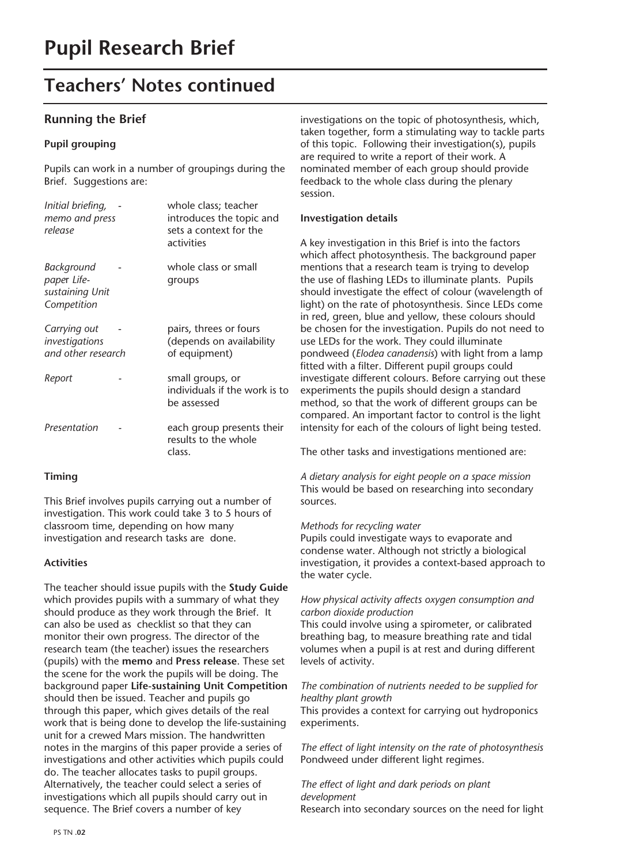## **Teachers' Notes continued**

### **Running the Brief**

#### **Pupil grouping**

Pupils can work in a number of groupings during the Brief. Suggestions are:

| Initial briefing,<br>memo and press<br>release              | whole class; teacher<br>introduces the topic and<br>sets a context for the<br>activities |
|-------------------------------------------------------------|------------------------------------------------------------------------------------------|
| Background<br>paper Life-<br>sustaining Unit<br>Competition | whole class or small<br>groups                                                           |
| Carrying out<br>investigations<br>and other research        | pairs, threes or fours<br>(depends on availability<br>of equipment)                      |
| Report                                                      | small groups, or<br>individuals if the work is to<br>be assessed                         |
| Presentation                                                | each group presents their<br>results to the whole<br>class.                              |

#### **Timing**

This Brief involves pupils carrying out a number of investigation. This work could take 3 to 5 hours of classroom time, depending on how many investigation and research tasks are done.

#### **Activities**

The teacher should issue pupils with the **Study Guide** which provides pupils with a summary of what they should produce as they work through the Brief. It can also be used as checklist so that they can monitor their own progress. The director of the research team (the teacher) issues the researchers (pupils) with the **memo** and **Press release**. These set the scene for the work the pupils will be doing. The background paper **Life-sustaining Unit Competition** should then be issued. Teacher and pupils go through this paper, which gives details of the real work that is being done to develop the life-sustaining unit for a crewed Mars mission. The handwritten notes in the margins of this paper provide a series of investigations and other activities which pupils could do. The teacher allocates tasks to pupil groups. Alternatively, the teacher could select a series of investigations which all pupils should carry out in sequence. The Brief covers a number of key

investigations on the topic of photosynthesis, which, taken together, form a stimulating way to tackle parts of this topic. Following their investigation(s), pupils are required to write a report of their work. A nominated member of each group should provide feedback to the whole class during the plenary session.

#### **Investigation details**

A key investigation in this Brief is into the factors which affect photosynthesis. The background paper mentions that a research team is trying to develop the use of flashing LEDs to illuminate plants. Pupils should investigate the effect of colour (wavelength of light) on the rate of photosynthesis. Since LEDs come in red, green, blue and yellow, these colours should be chosen for the investigation. Pupils do not need to use LEDs for the work. They could illuminate pondweed (*Elodea canadensis*) with light from a lamp fitted with a filter. Different pupil groups could investigate different colours. Before carrying out these experiments the pupils should design a standard method, so that the work of different groups can be compared. An important factor to control is the light intensity for each of the colours of light being tested.

The other tasks and investigations mentioned are:

*A dietary analysis for eight people on a space mission* This would be based on researching into secondary sources.

#### *Methods for recycling water*

Pupils could investigate ways to evaporate and condense water. Although not strictly a biological investigation, it provides a context-based approach to the water cycle.

#### *How physical activity affects oxygen consumption and carbon dioxide production*

This could involve using a spirometer, or calibrated breathing bag, to measure breathing rate and tidal volumes when a pupil is at rest and during different levels of activity.

#### *The combination of nutrients needed to be supplied for healthy plant growth*

This provides a context for carrying out hydroponics experiments.

*The effect of light intensity on the rate of photosynthesis* Pondweed under different light regimes.

#### *The effect of light and dark periods on plant development* Research into secondary sources on the need for light